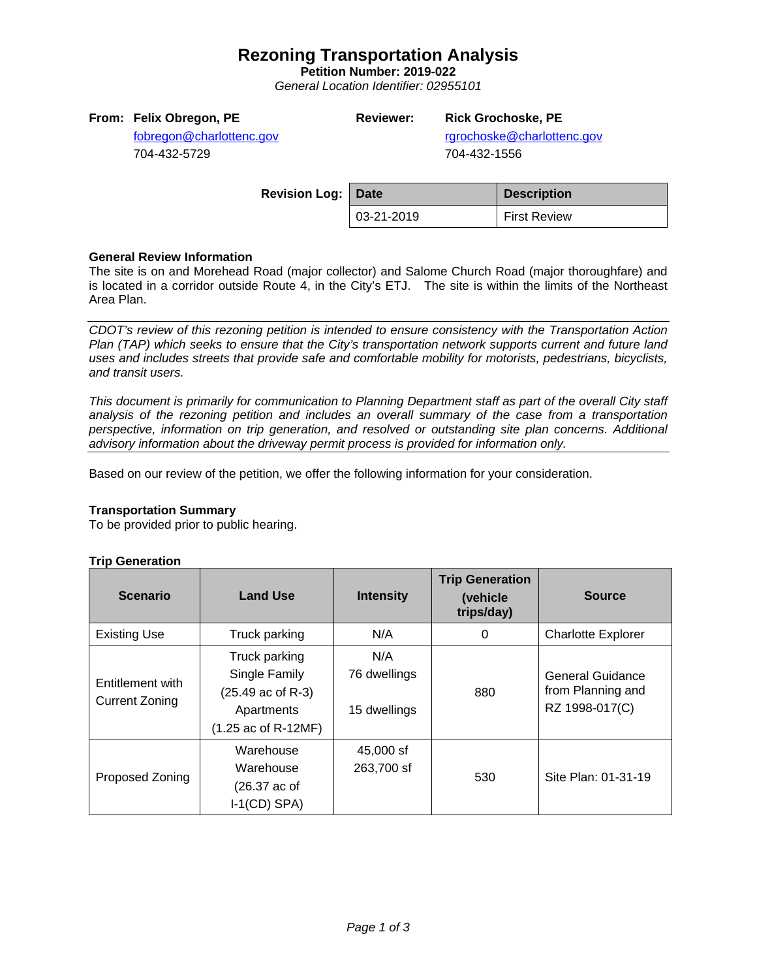## **Rezoning Transportation Analysis**

**Petition Number: 2019-022**

*General Location Identifier: 02955101*

## **From: Felix Obregon, PE**

# **Reviewer: Rick Grochoske, PE**

[fobregon@charlottenc.gov](mailto:fobregon@charlottenc.gov) 704-432-5729

rgrochoske@charlottenc.gov 704-432-1556

| <b>Revision Log: Date</b> |            | <b>Description</b>  |
|---------------------------|------------|---------------------|
|                           | 03-21-2019 | <b>First Review</b> |

#### **General Review Information**

The site is on and Morehead Road (major collector) and Salome Church Road (major thoroughfare) and is located in a corridor outside Route 4, in the City's ETJ. The site is within the limits of the Northeast Area Plan.

*CDOT's review of this rezoning petition is intended to ensure consistency with the Transportation Action Plan (TAP) which seeks to ensure that the City's transportation network supports current and future land uses and includes streets that provide safe and comfortable mobility for motorists, pedestrians, bicyclists, and transit users.*

*This document is primarily for communication to Planning Department staff as part of the overall City staff analysis of the rezoning petition and includes an overall summary of the case from a transportation perspective, information on trip generation, and resolved or outstanding site plan concerns. Additional advisory information about the driveway permit process is provided for information only.*

Based on our review of the petition, we offer the following information for your consideration.

#### **Transportation Summary**

To be provided prior to public hearing.

#### **Trip Generation**

| <b>Scenario</b>                           | <b>Land Use</b>                                                                                    | <b>Intensity</b>                    | <b>Trip Generation</b><br>(vehicle<br>trips/day) | <b>Source</b>                                                  |
|-------------------------------------------|----------------------------------------------------------------------------------------------------|-------------------------------------|--------------------------------------------------|----------------------------------------------------------------|
| <b>Existing Use</b>                       | Truck parking                                                                                      | N/A                                 | 0                                                | <b>Charlotte Explorer</b>                                      |
| Entitlement with<br><b>Current Zoning</b> | Truck parking<br>Single Family<br>(25.49 ac of R-3)<br>Apartments<br>$(1.25 \text{ ac of R-12MF})$ | N/A<br>76 dwellings<br>15 dwellings | 880                                              | <b>General Guidance</b><br>from Planning and<br>RZ 1998-017(C) |
| Proposed Zoning                           | Warehouse<br>Warehouse<br>$(26.37 \text{ ac of})$<br>$I-1(CD)$ SPA)                                | 45,000 sf<br>263,700 sf             | 530                                              | Site Plan: 01-31-19                                            |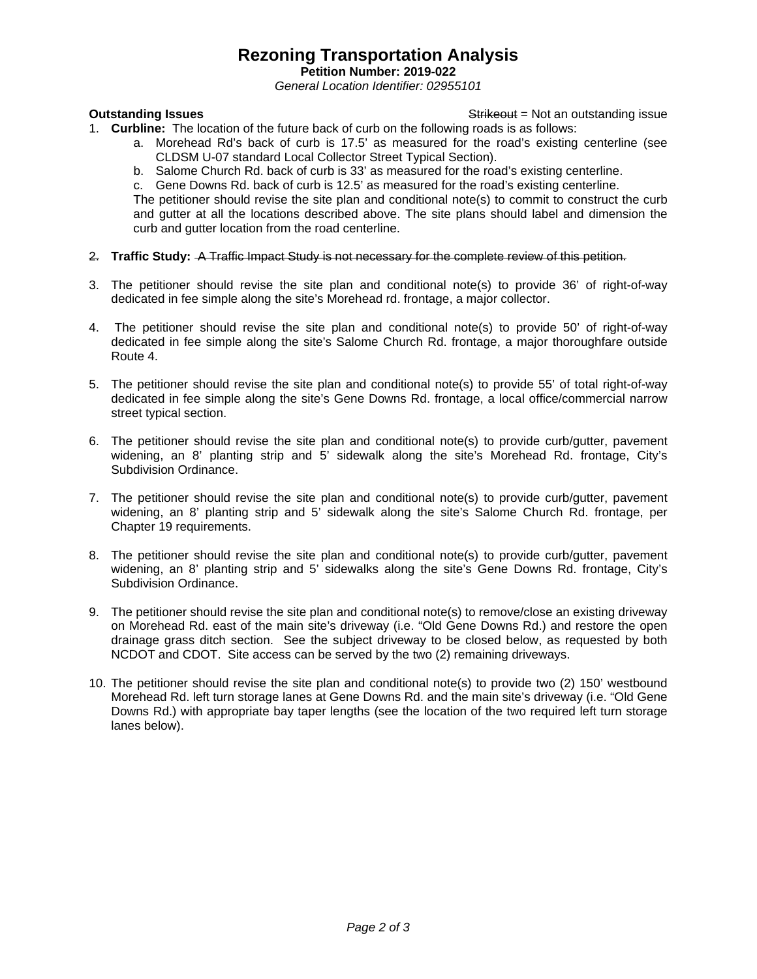## **Rezoning Transportation Analysis**

**Petition Number: 2019-022**

*General Location Identifier: 02955101*

**Outstanding Issues Container and Strike Example 20 and Strike Container and Strike Outstanding issue** 

- 1. **Curbline:** The location of the future back of curb on the following roads is as follows:
	- a. Morehead Rd's back of curb is 17.5' as measured for the road's existing centerline (see CLDSM U-07 standard Local Collector Street Typical Section).
	- b. Salome Church Rd. back of curb is 33' as measured for the road's existing centerline.
	- c. Gene Downs Rd. back of curb is 12.5' as measured for the road's existing centerline.

The petitioner should revise the site plan and conditional note(s) to commit to construct the curb and gutter at all the locations described above. The site plans should label and dimension the curb and gutter location from the road centerline.

- 2. **Traffic Study:** A Traffic Impact Study is not necessary for the complete review of this petition.
- 3. The petitioner should revise the site plan and conditional note(s) to provide 36' of right-of-way dedicated in fee simple along the site's Morehead rd. frontage, a major collector.
- 4. The petitioner should revise the site plan and conditional note(s) to provide 50' of right-of-way dedicated in fee simple along the site's Salome Church Rd. frontage, a major thoroughfare outside Route 4.
- 5. The petitioner should revise the site plan and conditional note(s) to provide 55' of total right-of-way dedicated in fee simple along the site's Gene Downs Rd. frontage, a local office/commercial narrow street typical section.
- 6. The petitioner should revise the site plan and conditional note(s) to provide curb/gutter, pavement widening, an 8' planting strip and 5' sidewalk along the site's Morehead Rd. frontage, City's Subdivision Ordinance.
- 7. The petitioner should revise the site plan and conditional note(s) to provide curb/gutter, pavement widening, an 8' planting strip and 5' sidewalk along the site's Salome Church Rd. frontage, per Chapter 19 requirements.
- 8. The petitioner should revise the site plan and conditional note(s) to provide curb/gutter, pavement widening, an 8' planting strip and 5' sidewalks along the site's Gene Downs Rd. frontage, City's Subdivision Ordinance.
- 9. The petitioner should revise the site plan and conditional note(s) to remove/close an existing driveway on Morehead Rd. east of the main site's driveway (i.e. "Old Gene Downs Rd.) and restore the open drainage grass ditch section. See the subject driveway to be closed below, as requested by both NCDOT and CDOT. Site access can be served by the two (2) remaining driveways.
- 10. The petitioner should revise the site plan and conditional note(s) to provide two (2) 150' westbound Morehead Rd. left turn storage lanes at Gene Downs Rd. and the main site's driveway (i.e. "Old Gene Downs Rd.) with appropriate bay taper lengths (see the location of the two required left turn storage lanes below).